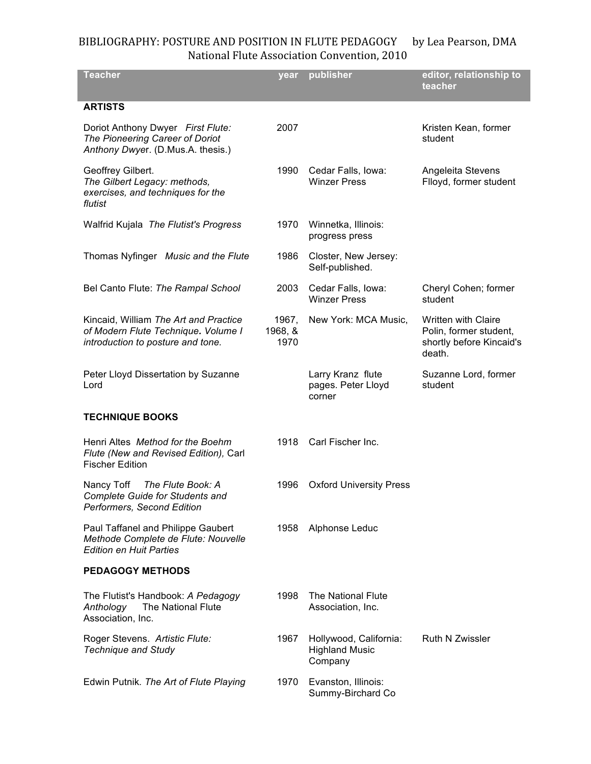## BIBLIOGRAPHY: POSTURE AND POSITION IN FLUTE PEDAGOGY by Lea Pearson, DMA National
Flute
Association
Convention,
2010

| <b>Teacher</b>                                                                                                    | year                     | publisher                                                  | editor, relationship to<br>teacher                                                         |
|-------------------------------------------------------------------------------------------------------------------|--------------------------|------------------------------------------------------------|--------------------------------------------------------------------------------------------|
| <b>ARTISTS</b>                                                                                                    |                          |                                                            |                                                                                            |
| Doriot Anthony Dwyer First Flute:<br>The Pioneering Career of Doriot<br>Anthony Dwyer. (D.Mus.A. thesis.)         | 2007                     |                                                            | Kristen Kean, former<br>student                                                            |
| Geoffrey Gilbert.<br>The Gilbert Legacy: methods,<br>exercises, and techniques for the<br>flutist                 | 1990                     | Cedar Falls, Iowa:<br><b>Winzer Press</b>                  | Angeleita Stevens<br>Flloyd, former student                                                |
| Walfrid Kujala The Flutist's Progress                                                                             | 1970                     | Winnetka, Illinois:<br>progress press                      |                                                                                            |
| Thomas Nyfinger Music and the Flute                                                                               | 1986                     | Closter, New Jersey:<br>Self-published.                    |                                                                                            |
| Bel Canto Flute: The Rampal School                                                                                | 2003                     | Cedar Falls, Iowa:<br><b>Winzer Press</b>                  | Cheryl Cohen; former<br>student                                                            |
| Kincaid, William The Art and Practice<br>of Modern Flute Technique. Volume I<br>introduction to posture and tone. | 1967,<br>1968, &<br>1970 | New York: MCA Music,                                       | <b>Written with Claire</b><br>Polin, former student,<br>shortly before Kincaid's<br>death. |
| Peter Lloyd Dissertation by Suzanne<br>Lord                                                                       |                          | Larry Kranz flute<br>pages. Peter Lloyd<br>corner          | Suzanne Lord, former<br>student                                                            |
| <b>TECHNIQUE BOOKS</b>                                                                                            |                          |                                                            |                                                                                            |
| Henri Altes Method for the Boehm<br>Flute (New and Revised Edition), Carl<br><b>Fischer Edition</b>               | 1918                     | Carl Fischer Inc.                                          |                                                                                            |
| Nancy Toff<br>The Flute Book: A<br><b>Complete Guide for Students and</b><br>Performers, Second Edition           | 1996                     | <b>Oxford University Press</b>                             |                                                                                            |
| Paul Taffanel and Philippe Gaubert<br>Methode Complete de Flute: Nouvelle<br><b>Edition en Huit Parties</b>       | 1958                     | Alphonse Leduc                                             |                                                                                            |
| <b>PEDAGOGY METHODS</b>                                                                                           |                          |                                                            |                                                                                            |
| The Flutist's Handbook: A Pedagogy<br>The National Flute<br>Anthology<br>Association, Inc.                        | 1998                     | <b>The National Flute</b><br>Association, Inc.             |                                                                                            |
| Roger Stevens. Artistic Flute:<br><b>Technique and Study</b>                                                      | 1967                     | Hollywood, California:<br><b>Highland Music</b><br>Company | <b>Ruth N Zwissler</b>                                                                     |
| Edwin Putnik. The Art of Flute Playing                                                                            | 1970                     | Evanston, Illinois:<br>Summy-Birchard Co                   |                                                                                            |